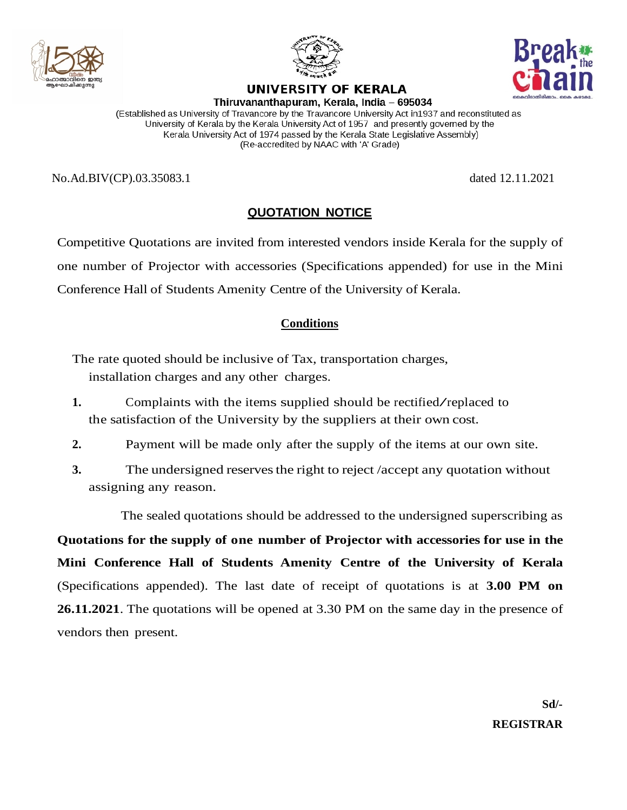



## UNIVERSITY OF KERALA



Thiruvananthapuram, Kerala, India - 695034 (Established as University of Travancore by the Travancore University Act in1937 and reconstituted as University of Kerala by the Kerala University Act of 1957 and presently governed by the Kerala University Act of 1974 passed by the Kerala State Legislative Assembly) (Re-accredited by NAAC with 'A' Grade)

No.Ad.BIV(CP).03.35083.1 dated 12.11.2021

## **QUOTATION NOTICE**

Competitive Quotations are invited from interested vendors inside Kerala for the supply of one number of Projector with accessories (Specifications appended) for use in the Mini Conference Hall of Students Amenity Centre of the University of Kerala.

#### **Conditions**

The rate quoted should be inclusive of Tax, transportation charges, installation charges and any other charges.

- **1.** Complaints with the items supplied should be rectified/replaced to the satisfaction of the University by the suppliers at their own cost.
- **2.** Payment will be made only after the supply of the items at our own site.
- **3.** The undersigned reserves the right to reject *(accept any quotation without*) assigning any reason.

The sealed quotations should be addressed to the undersigned superscribing as

**Quotations for the supply of one number of Projector with accessories for use in the Mini Conference Hall of Students Amenity Centre of the University of Kerala** (Specifications appended). The last date of receipt of quotations is at **3.00 PM on 26.11.2021**. The quotations will be opened at 3.30 PM on the same day in the presence of vendors then present.

> **Sd/- REGISTRAR**